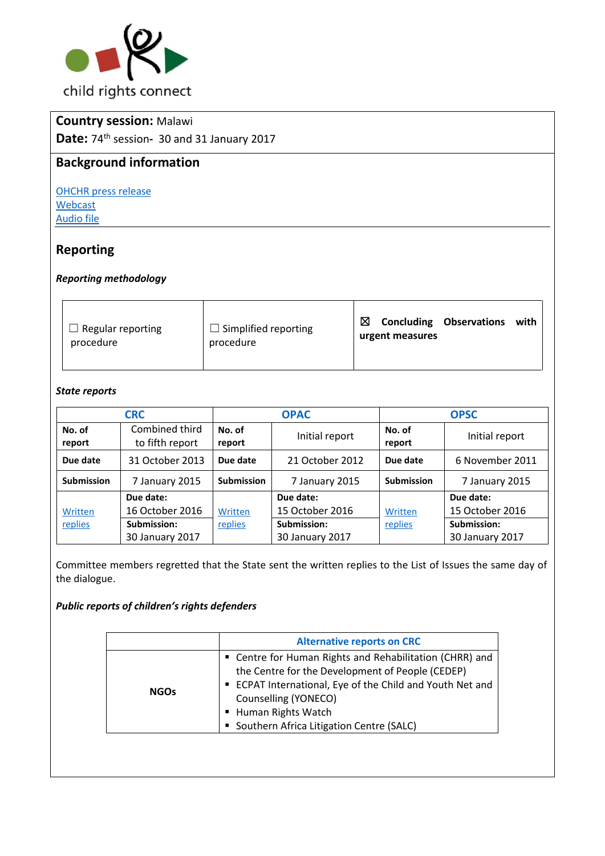

# **Country session:** Malawi

**Date:** 74th session**-** 30 and 31 January 2017

## **Background information**

[OHCHR press release](http://bit.ly/2lNvYjH) [Webcast](http://bit.ly/2m2avpO) [Audio file](http://bit.ly/2kPQLB6+)

# **Reporting**

#### *Reporting methodology*

| Regular reporting<br>procedure | $\Box$ Simplified reporting<br>procedure | ⊠<br><b>Concluding Observations</b><br>with<br>urgent measures |
|--------------------------------|------------------------------------------|----------------------------------------------------------------|
|--------------------------------|------------------------------------------|----------------------------------------------------------------|

#### *State reports*

|                   | <b>CRC</b>                        |                   | <b>OPAC</b>     |                   | <b>OPSC</b>     |
|-------------------|-----------------------------------|-------------------|-----------------|-------------------|-----------------|
| No. of<br>report  | Combined third<br>to fifth report | No. of<br>report  | Initial report  | No. of<br>report  | Initial report  |
| Due date          | 31 October 2013                   | Due date          | 21 October 2012 | Due date          | 6 November 2011 |
| <b>Submission</b> | 7 January 2015                    | <b>Submission</b> | 7 January 2015  | <b>Submission</b> | 7 January 2015  |
|                   | Due date:                         |                   | Due date:       |                   | Due date:       |
| Written           | 16 October 2016                   | Written           | 15 October 2016 | Written           | 15 October 2016 |
| replies           | Submission:                       | replies           | Submission:     | replies           | Submission:     |
|                   | 30 January 2017                   |                   | 30 January 2017 |                   | 30 January 2017 |

Committee members regretted that the State sent the written replies to the List of Issues the same day of the dialogue.

### *Public reports of children's rights defenders*

| • Centre for Human Rights and Rehabilitation (CHRR) and                                                                                                                                                                | <b>Alternative reports on CRC</b> |  |
|------------------------------------------------------------------------------------------------------------------------------------------------------------------------------------------------------------------------|-----------------------------------|--|
| the Centre for the Development of People (CEDEP)<br>ECPAT International, Eye of the Child and Youth Net and<br><b>NGOs</b><br>Counselling (YONECO)<br>■ Human Rights Watch<br>Southern Africa Litigation Centre (SALC) |                                   |  |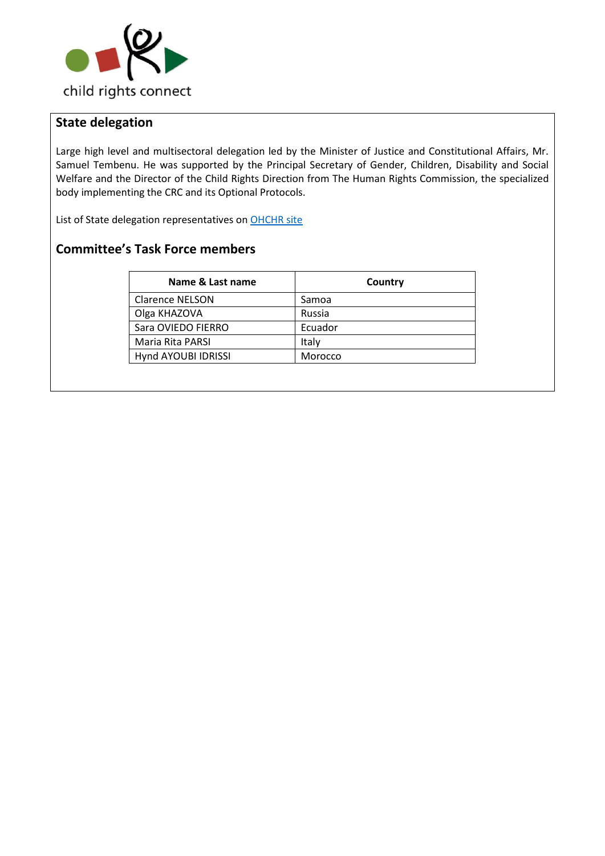

# **State delegation**

Large high level and multisectoral delegation led by the Minister of Justice and Constitutional Affairs, Mr. Samuel Tembenu. He was supported by the Principal Secretary of Gender, Children, Disability and Social Welfare and the Director of the Child Rights Direction from The Human Rights Commission, the specialized body implementing the CRC and its Optional Protocols.

List of State delegation representatives on OHCHR site

# **Committee's Task Force members**

| Name & Last name       | Country |
|------------------------|---------|
| <b>Clarence NELSON</b> | Samoa   |
| Olga KHAZOVA           | Russia  |
| Sara OVIEDO FIERRO     | Ecuador |
| Maria Rita PARSI       | Italy   |
| Hynd AYOUBI IDRISSI    | Morocco |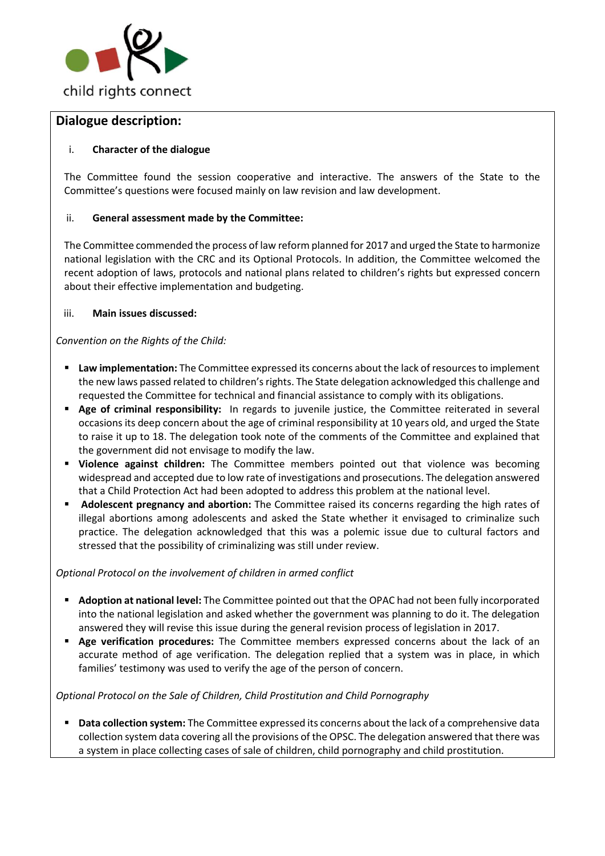

### **Dialogue description:**

### i. **Character of the dialogue**

The Committee found the session cooperative and interactive. The answers of the State to the Committee's questions were focused mainly on law revision and law development.

### ii. **General assessment made by the Committee:**

The Committee commended the process of law reform planned for 2017 and urged the State to harmonize national legislation with the CRC and its Optional Protocols. In addition, the Committee welcomed the recent adoption of laws, protocols and national plans related to children's rights but expressed concern about their effective implementation and budgeting.

#### iii. **Main issues discussed:**

*Convention on the Rights of the Child:*

- **Law implementation:** The Committee expressed its concerns about the lack of resources to implement the new laws passed related to children's rights. The State delegation acknowledged this challenge and requested the Committee for technical and financial assistance to comply with its obligations.
- **Age of criminal responsibility:** In regards to juvenile justice, the Committee reiterated in several occasions its deep concern about the age of criminal responsibility at 10 years old, and urged the State to raise it up to 18. The delegation took note of the comments of the Committee and explained that the government did not envisage to modify the law.
- **Violence against children:** The Committee members pointed out that violence was becoming widespread and accepted due to low rate of investigations and prosecutions. The delegation answered that a Child Protection Act had been adopted to address this problem at the national level.
- **Adolescent pregnancy and abortion:** The Committee raised its concerns regarding the high rates of illegal abortions among adolescents and asked the State whether it envisaged to criminalize such practice. The delegation acknowledged that this was a polemic issue due to cultural factors and stressed that the possibility of criminalizing was still under review.

#### *Optional Protocol on the involvement of children in armed conflict*

- **Adoption at national level:** The Committee pointed out that the OPAC had not been fully incorporated into the national legislation and asked whether the government was planning to do it. The delegation answered they will revise this issue during the general revision process of legislation in 2017.
- **Age verification procedures:** The Committee members expressed concerns about the lack of an accurate method of age verification. The delegation replied that a system was in place, in which families' testimony was used to verify the age of the person of concern.

### *Optional Protocol on the Sale of Children, Child Prostitution and Child Pornography*

 **Data collection system:** The Committee expressed its concerns about the lack of a comprehensive data collection system data covering all the provisions of the OPSC. The delegation answered that there was a system in place collecting cases of sale of children, child pornography and child prostitution.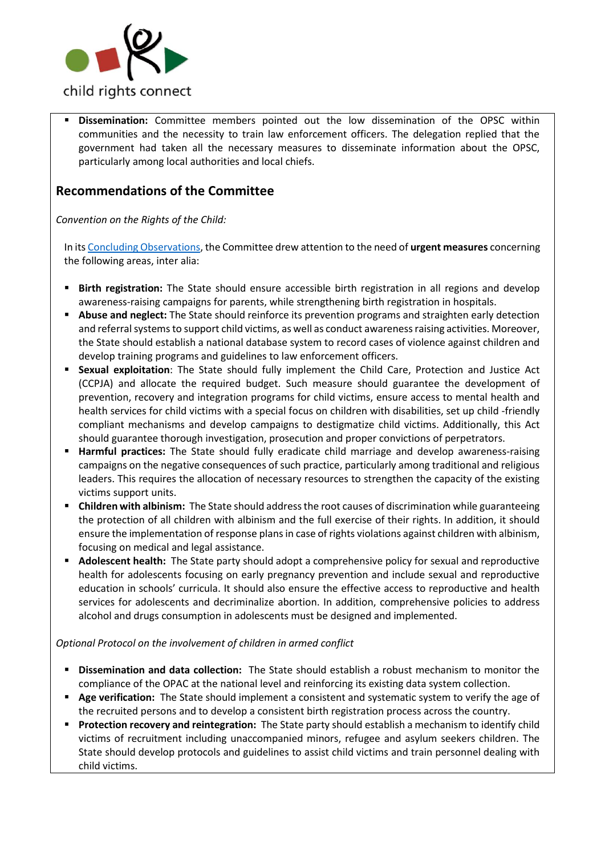

 **Dissemination:** Committee members pointed out the low dissemination of the OPSC within communities and the necessity to train law enforcement officers. The delegation replied that the government had taken all the necessary measures to disseminate information about the OPSC, particularly among local authorities and local chiefs.

# **Recommendations of the Committee**

*Convention on the Rights of the Child:*

In it[s Concluding Observations,](http://tbinternet.ohchr.org/_layouts/treatybodyexternal/Download.aspx?symbolno=CRC%2fC%2fMWI%2fCO%2f3-5&Lang=en) the Committee drew attention to the need of **urgent measures** concerning the following areas, inter alia:

- **Birth registration:** The State should ensure accessible birth registration in all regions and develop awareness-raising campaigns for parents, while strengthening birth registration in hospitals.
- **Abuse and neglect:** The State should reinforce its prevention programs and straighten early detection and referral systems to support child victims, as well as conduct awareness raising activities. Moreover, the State should establish a national database system to record cases of violence against children and develop training programs and guidelines to law enforcement officers.
- **Sexual exploitation**: The State should fully implement the Child Care, Protection and Justice Act (CCPJA) and allocate the required budget. Such measure should guarantee the development of prevention, recovery and integration programs for child victims, ensure access to mental health and health services for child victims with a special focus on children with disabilities, set up child -friendly compliant mechanisms and develop campaigns to destigmatize child victims. Additionally, this Act should guarantee thorough investigation, prosecution and proper convictions of perpetrators.
- **Harmful practices:** The State should fully eradicate child marriage and develop awareness-raising campaigns on the negative consequences of such practice, particularly among traditional and religious leaders. This requires the allocation of necessary resources to strengthen the capacity of the existing victims support units.
- **Children with albinism:** The State should address the root causes of discrimination while guaranteeing the protection of all children with albinism and the full exercise of their rights. In addition, it should ensure the implementation of response plans in case of rights violations against children with albinism, focusing on medical and legal assistance.
- **Adolescent health:** The State party should adopt a comprehensive policy for sexual and reproductive health for adolescents focusing on early pregnancy prevention and include sexual and reproductive education in schools' curricula. It should also ensure the effective access to reproductive and health services for adolescents and decriminalize abortion. In addition, comprehensive policies to address alcohol and drugs consumption in adolescents must be designed and implemented.

### *Optional Protocol on the involvement of children in armed conflict*

- **Dissemination and data collection:** The State should establish a robust mechanism to monitor the compliance of the OPAC at the national level and reinforcing its existing data system collection.
- **Age verification:** The State should implement a consistent and systematic system to verify the age of the recruited persons and to develop a consistent birth registration process across the country.
- **Protection recovery and reintegration:** The State party should establish a mechanism to identify child victims of recruitment including unaccompanied minors, refugee and asylum seekers children. The State should develop protocols and guidelines to assist child victims and train personnel dealing with child victims.